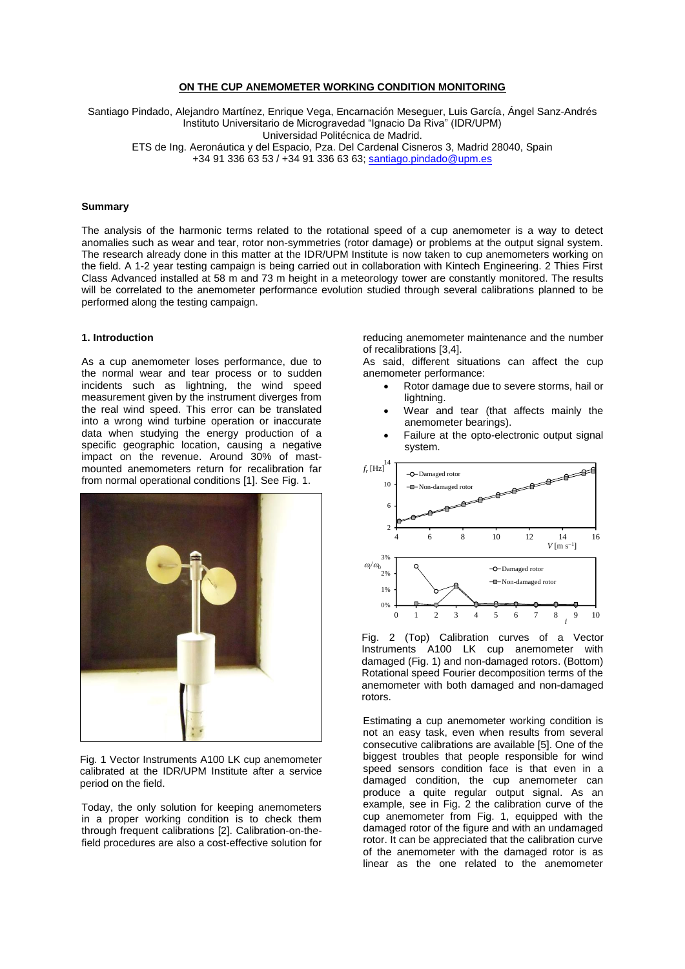### **ON THE CUP ANEMOMETER WORKING CONDITION MONITORING**

Santiago Pindado, Alejandro Martínez, Enrique Vega, Encarnación Meseguer, Luis García, Ángel Sanz-Andrés Instituto Universitario de Microgravedad "Ignacio Da Riva" (IDR/UPM) Universidad Politécnica de Madrid. ETS de Ing. Aeronáutica y del Espacio, Pza. Del Cardenal Cisneros 3, Madrid 28040, Spain +34 91 336 63 53 / +34 91 336 63 63[; santiago.pindado@upm.es](mailto:santiago.pindado@upm.es)

#### **Summary**

The analysis of the harmonic terms related to the rotational speed of a cup anemometer is a way to detect anomalies such as wear and tear, rotor non-symmetries (rotor damage) or problems at the output signal system. The research already done in this matter at the IDR/UPM Institute is now taken to cup anemometers working on the field. A 1-2 year testing campaign is being carried out in collaboration with Kintech Engineering. 2 Thies First Class Advanced installed at 58 m and 73 m height in a meteorology tower are constantly monitored. The results will be correlated to the anemometer performance evolution studied through several calibrations planned to be performed along the testing campaign.

#### **1. Introduction**

As a cup anemometer loses performance, due to the normal wear and tear process or to sudden incidents such as lightning, the wind speed measurement given by the instrument diverges from the real wind speed. This error can be translated into a wrong wind turbine operation or inaccurate data when studying the energy production of a specific geographic location, causing a negative impact on the revenue. Around 30% of mastmounted anemometers return for recalibration far from normal operational conditions [1]. See Fig. 1.



Fig. 1 Vector Instruments A100 LK cup anemometer calibrated at the IDR/UPM Institute after a service period on the field.

Today, the only solution for keeping anemometers in a proper working condition is to check them through frequent calibrations [2]. Calibration-on-thefield procedures are also a cost-effective solution for

reducing anemometer maintenance and the number of recalibrations [3,4].

As said, different situations can affect the cup anemometer performance:

- Rotor damage due to severe storms, hail or lightning.
- Wear and tear (that affects mainly the anemometer bearings).
- Failure at the opto-electronic output signal system.



Fig. 2 (Top) Calibration curves of a Vector Instruments A100 LK cup anemometer with damaged (Fig. 1) and non-damaged rotors. (Bottom) Rotational speed Fourier decomposition terms of the anemometer with both damaged and non-damaged rotors.

Estimating a cup anemometer working condition is not an easy task, even when results from several consecutive calibrations are available [5]. One of the biggest troubles that people responsible for wind speed sensors condition face is that even in a damaged condition, the cup anemometer can produce a quite regular output signal. As an example, see in Fig. 2 the calibration curve of the cup anemometer from Fig. 1, equipped with the damaged rotor of the figure and with an undamaged rotor. It can be appreciated that the calibration curve of the anemometer with the damaged rotor is as linear as the one related to the anemometer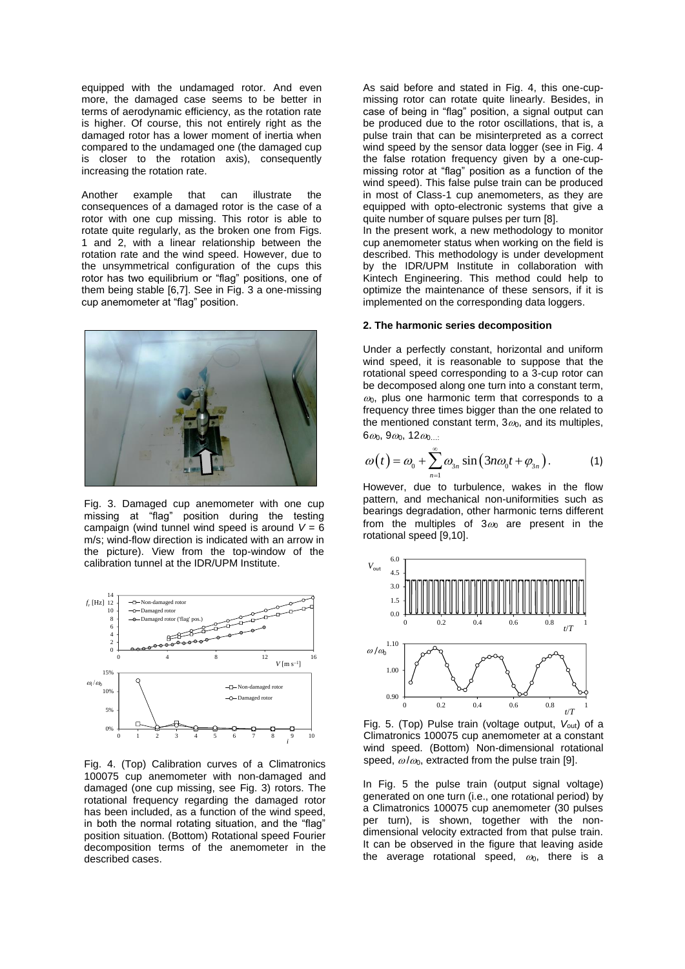equipped with the undamaged rotor. And even more, the damaged case seems to be better in terms of aerodynamic efficiency, as the rotation rate is higher. Of course, this not entirely right as the damaged rotor has a lower moment of inertia when compared to the undamaged one (the damaged cup is closer to the rotation axis), consequently increasing the rotation rate.

Another example that can illustrate the consequences of a damaged rotor is the case of a rotor with one cup missing. This rotor is able to rotate quite regularly, as the broken one from Figs. 1 and 2, with a linear relationship between the rotation rate and the wind speed. However, due to the unsymmetrical configuration of the cups this rotor has two equilibrium or "flag" positions, one of them being stable [6,7]. See in Fig. 3 a one-missing cup anemometer at "flag" position.



Fig. 3. Damaged cup anemometer with one cup missing at "flag" position during the testing campaign (wind tunnel wind speed is around  $V = 6$ m/s; wind-flow direction is indicated with an arrow in the picture). View from the top-window of the calibration tunnel at the IDR/UPM Institute.



Fig. 4. (Top) Calibration curves of a Climatronics 100075 cup anemometer with non-damaged and damaged (one cup missing, see Fig. 3) rotors. The rotational frequency regarding the damaged rotor has been included, as a function of the wind speed. in both the normal rotating situation, and the "flag" position situation. (Bottom) Rotational speed Fourier decomposition terms of the anemometer in the described cases.

As said before and stated in Fig. 4, this one-cupmissing rotor can rotate quite linearly. Besides, in case of being in "flag" position, a signal output can be produced due to the rotor oscillations, that is, a pulse train that can be misinterpreted as a correct wind speed by the sensor data logger (see in Fig. 4 the false rotation frequency given by a one-cupmissing rotor at "flag" position as a function of the wind speed). This false pulse train can be produced in most of Class-1 cup anemometers, as they are equipped with opto-electronic systems that give a quite number of square pulses per turn [8]. In the present work, a new methodology to monitor

cup anemometer status when working on the field is described. This methodology is under development by the IDR/UPM Institute in collaboration with Kintech Engineering. This method could help to optimize the maintenance of these sensors, if it is implemented on the corresponding data loggers.

#### **2. The harmonic series decomposition**

Under a perfectly constant, horizontal and uniform wind speed, it is reasonable to suppose that the rotational speed corresponding to a 3-cup rotor can be decomposed along one turn into a constant term,  $\omega$ . plus one harmonic term that corresponds to a frequency three times bigger than the one related to the mentioned constant term,  $3\omega_0$ , and its multiples,  $6\omega_0$ ,  $9\omega_0$ ,  $12\omega_0$ ...

$$
\omega(t) = \omega_0 + \sum_{n=1}^{\infty} \omega_{3n} \sin(3n\omega_0 t + \varphi_{3n}). \tag{1}
$$

However, due to turbulence, wakes in the flow pattern, and mechanical non-uniformities such as bearings degradation, other harmonic terns different from the multiples of  $3\omega_0$  are present in the rotational speed [9,10].



Fig. 5. (Top) Pulse train (voltage output,  $V_{\text{out}}$ ) of a Climatronics 100075 cup anemometer at a constant wind speed. (Bottom) Non-dimensional rotational speed,  $\omega/\omega_0$ , extracted from the pulse train [9].

In Fig. 5 the pulse train (output signal voltage) generated on one turn (i.e., one rotational period) by a Climatronics 100075 cup anemometer (30 pulses per turn), is shown, together with the nondimensional velocity extracted from that pulse train. It can be observed in the figure that leaving aside the average rotational speed,  $\omega_0$ , there is a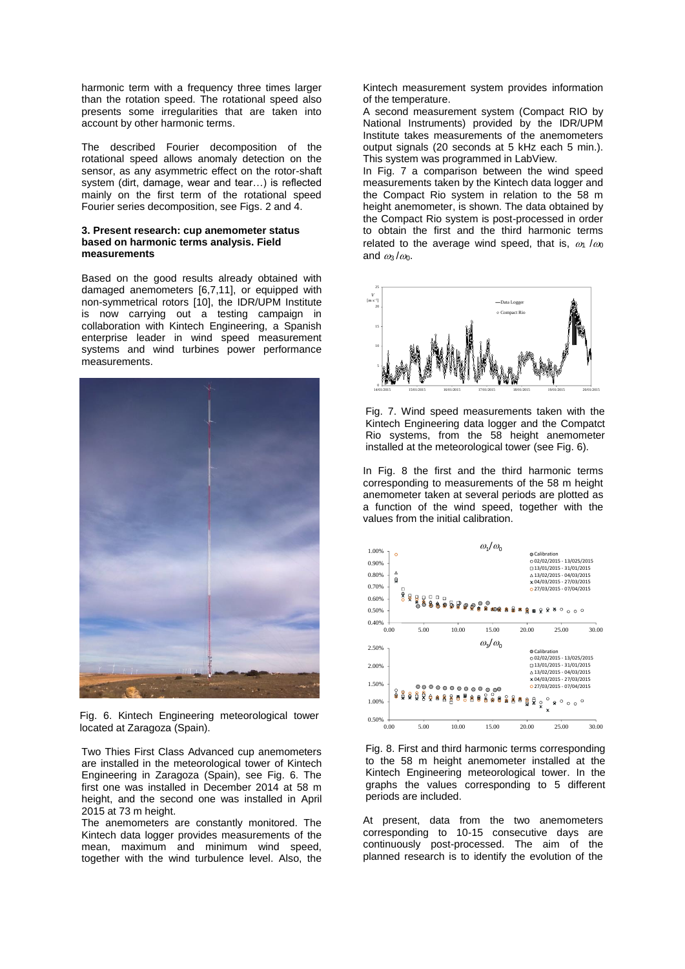harmonic term with a frequency three times larger than the rotation speed. The rotational speed also presents some irregularities that are taken into account by other harmonic terms.

The described Fourier decomposition of the rotational speed allows anomaly detection on the sensor, as any asymmetric effect on the rotor-shaft system (dirt, damage, wear and tear…) is reflected mainly on the first term of the rotational speed Fourier series decomposition, see Figs. 2 and 4.

#### **3. Present research: cup anemometer status based on harmonic terms analysis. Field measurements**

Based on the good results already obtained with damaged anemometers [6,7,11], or equipped with non-symmetrical rotors [10], the IDR/UPM Institute is now carrying out a testing campaign in collaboration with Kintech Engineering, a Spanish enterprise leader in wind speed measurement systems and wind turbines power performance measurements.



Fig. 6. Kintech Engineering meteorological tower located at Zaragoza (Spain).

Two Thies First Class Advanced cup anemometers are installed in the meteorological tower of Kintech Engineering in Zaragoza (Spain), see Fig. 6. The first one was installed in December 2014 at 58 m height, and the second one was installed in April 2015 at 73 m height.

The anemometers are constantly monitored. The Kintech data logger provides measurements of the mean, maximum and minimum wind speed, together with the wind turbulence level. Also, the

Kintech measurement system provides information of the temperature.

A second measurement system (Compact RIO by National Instruments) provided by the IDR/UPM Institute takes measurements of the anemometers output signals (20 seconds at 5 kHz each 5 min.). This system was programmed in LabView.

In Fig. 7 a comparison between the wind speed measurements taken by the Kintech data logger and the Compact Rio system in relation to the 58 m height anemometer, is shown. The data obtained by the Compact Rio system is post-processed in order to obtain the first and the third harmonic terms related to the average wind speed, that is,  $\omega_1 / \omega_0$ and  $\omega_3/\omega_0$ .



Fig. 7. Wind speed measurements taken with the Kintech Engineering data logger and the Compatct Rio systems, from the 58 height anemometer installed at the meteorological tower (see Fig. 6).

In Fig. 8 the first and the third harmonic terms corresponding to measurements of the 58 m height anemometer taken at several periods are plotted as a function of the wind speed, together with the values from the initial calibration.



Fig. 8. First and third harmonic terms corresponding to the 58 m height anemometer installed at the Kintech Engineering meteorological tower. In the graphs the values corresponding to 5 different periods are included.

At present, data from the two anemometers corresponding to 10-15 consecutive days are continuously post-processed. The aim of the planned research is to identify the evolution of the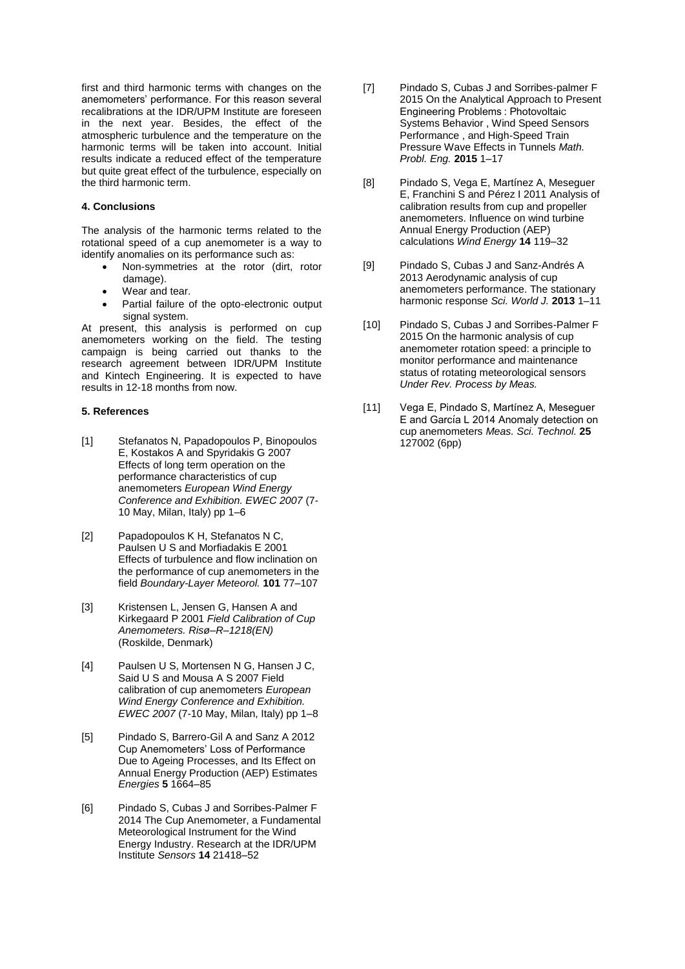first and third harmonic terms with changes on the anemometers' performance. For this reason several recalibrations at the IDR/UPM Institute are foreseen in the next year. Besides, the effect of the atmospheric turbulence and the temperature on the harmonic terms will be taken into account. Initial results indicate a reduced effect of the temperature but quite great effect of the turbulence, especially on the third harmonic term.

#### **4. Conclusions**

The analysis of the harmonic terms related to the rotational speed of a cup anemometer is a way to identify anomalies on its performance such as:

- Non-symmetries at the rotor (dirt, rotor damage).
- Wear and tear.
- Partial failure of the opto-electronic output signal system.

At present, this analysis is performed on cup anemometers working on the field. The testing campaign is being carried out thanks to the research agreement between IDR/UPM Institute and Kintech Engineering. It is expected to have results in 12-18 months from now.

### **5. References**

- [1] Stefanatos N, Papadopoulos P, Binopoulos E, Kostakos A and Spyridakis G 2007 Effects of long term operation on the performance characteristics of cup anemometers *European Wind Energy Conference and Exhibition. EWEC 2007* (7- 10 May, Milan, Italy) pp 1–6
- [2] Papadopoulos K H, Stefanatos N C, Paulsen U S and Morfiadakis E 2001 Effects of turbulence and flow inclination on the performance of cup anemometers in the field *Boundary-Layer Meteorol.* **101** 77–107
- [3] Kristensen L, Jensen G, Hansen A and Kirkegaard P 2001 *Field Calibration of Cup Anemometers. Risø–R–1218(EN)* (Roskilde, Denmark)
- [4] Paulsen U S, Mortensen N G, Hansen J C, Said U S and Mousa A S 2007 Field calibration of cup anemometers *European Wind Energy Conference and Exhibition. EWEC 2007* (7-10 May, Milan, Italy) pp 1–8
- [5] Pindado S, Barrero-Gil A and Sanz A 2012 Cup Anemometers' Loss of Performance Due to Ageing Processes, and Its Effect on Annual Energy Production (AEP) Estimates *Energies* **5** 1664–85
- [6] Pindado S, Cubas J and Sorribes-Palmer F 2014 The Cup Anemometer, a Fundamental Meteorological Instrument for the Wind Energy Industry. Research at the IDR/UPM Institute *Sensors* **14** 21418–52
- [7] Pindado S, Cubas J and Sorribes-palmer F 2015 On the Analytical Approach to Present Engineering Problems : Photovoltaic Systems Behavior , Wind Speed Sensors Performance , and High-Speed Train Pressure Wave Effects in Tunnels *Math. Probl. Eng.* **2015** 1–17
- [8] Pindado S, Vega E, Martínez A, Meseguer E, Franchini S and Pérez I 2011 Analysis of calibration results from cup and propeller anemometers. Influence on wind turbine Annual Energy Production (AEP) calculations *Wind Energy* **14** 119–32
- [9] Pindado S, Cubas J and Sanz-Andrés A 2013 Aerodynamic analysis of cup anemometers performance. The stationary harmonic response *Sci. World J.* **2013** 1–11
- [10] Pindado S, Cubas J and Sorribes-Palmer F 2015 On the harmonic analysis of cup anemometer rotation speed: a principle to monitor performance and maintenance status of rotating meteorological sensors *Under Rev. Process by Meas.*
- [11] Vega E, Pindado S, Martínez A, Meseguer E and García L 2014 Anomaly detection on cup anemometers *Meas. Sci. Technol.* **25** 127002 (6pp)